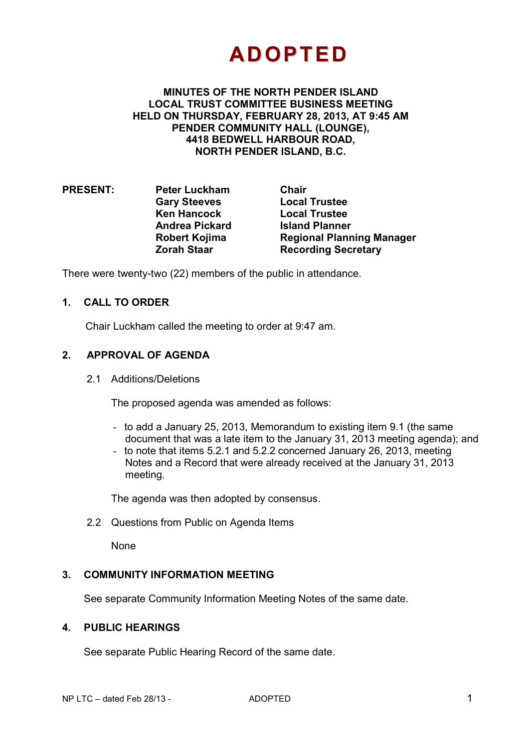# **ADOPTED**

**MINUTES OF THE NORTH PENDER ISLAND LOCAL TRUST COMMITTEE BUSINESS MEETING HELD ON THURSDAY, FEBRUARY 28, 2013, AT 9:45 AM PENDER COMMUNITY HALL (LOUNGE), 4418 BEDWELL HARBOUR ROAD, NORTH PENDER ISLAND, B.C.**

**PRESENT: Peter Luckham Chair Gary Steeves Local Trustee Andrea Pickard Island Planner Zorah Staar Subsetime Recording Secretary** 

**Local Trustee Robert Kojima Regional Planning Manager** 

There were twenty-two (22) members of the public in attendance.

# **1. CALL TO ORDER**

Chair Luckham called the meeting to order at 9:47 am.

# **2. APPROVAL OF AGENDA**

2.1 Additions/Deletions

The proposed agenda was amended as follows:

- to add a January 25, 2013, Memorandum to existing item 9.1 (the same document that was a late item to the January 31, 2013 meeting agenda); and
- to note that items 5.2.1 and 5.2.2 concerned January 26, 2013, meeting Notes and a Record that were already received at the January 31, 2013 meeting.

The agenda was then adopted by consensus.

2.2 Questions from Public on Agenda Items

None

# **3. COMMUNITY INFORMATION MEETING**

See separate Community Information Meeting Notes of the same date.

### **4. PUBLIC HEARINGS**

See separate Public Hearing Record of the same date.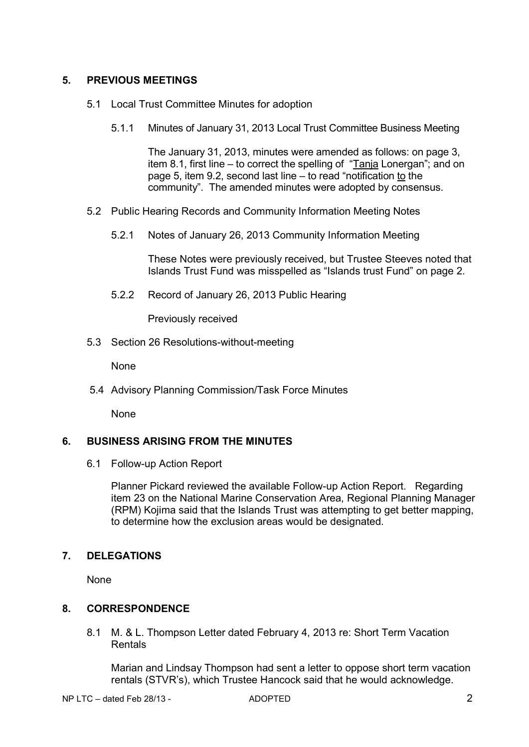# **5. PREVIOUS MEETINGS**

- 5.1 Local Trust Committee Minutes for adoption
	- 5.1.1 Minutes of January 31, 2013 Local Trust Committee Business Meeting

The January 31, 2013, minutes were amended as follows: on page 3, item 8.1, first line – to correct the spelling of "Tanja Lonergan"; and on page 5, item 9.2, second last line – to read "notification to the community". The amended minutes were adopted by consensus.

- 5.2 Public Hearing Records and Community Information Meeting Notes
	- 5.2.1 Notes of January 26, 2013 Community Information Meeting

 These Notes were previously received, but Trustee Steeves noted that Islands Trust Fund was misspelled as "Islands trust Fund" on page 2.

5.2.2 Record of January 26, 2013 Public Hearing

Previously received

5.3 Section 26 Resolutions-without-meeting

None

5.4 Advisory Planning Commission/Task Force Minutes

None

# **6. BUSINESS ARISING FROM THE MINUTES**

6.1 Follow-up Action Report

Planner Pickard reviewed the available Follow-up Action Report. Regarding item 23 on the National Marine Conservation Area, Regional Planning Manager (RPM) Kojima said that the Islands Trust was attempting to get better mapping, to determine how the exclusion areas would be designated.

# **7. DELEGATIONS**

None

# **8. CORRESPONDENCE**

8.1 M. & L. Thompson Letter dated February 4, 2013 re: Short Term Vacation Rentals

 Marian and Lindsay Thompson had sent a letter to oppose short term vacation rentals (STVR's), which Trustee Hancock said that he would acknowledge.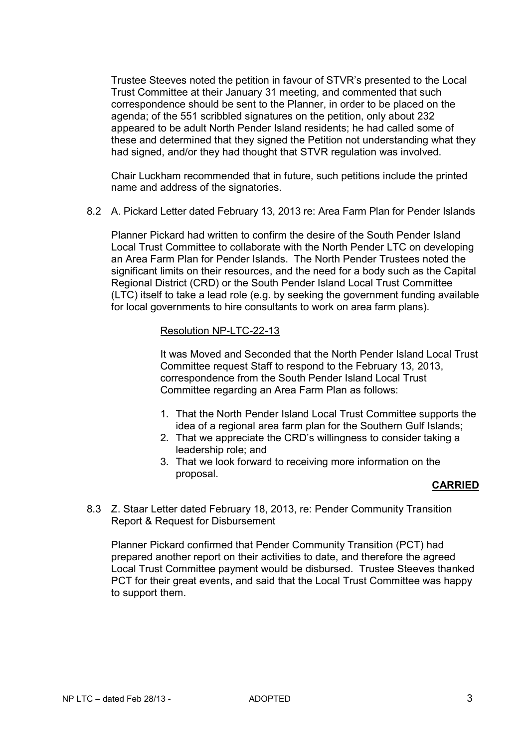Trustee Steeves noted the petition in favour of STVR's presented to the Local Trust Committee at their January 31 meeting, and commented that such correspondence should be sent to the Planner, in order to be placed on the agenda; of the 551 scribbled signatures on the petition, only about 232 appeared to be adult North Pender Island residents; he had called some of these and determined that they signed the Petition not understanding what they had signed, and/or they had thought that STVR regulation was involved.

 Chair Luckham recommended that in future, such petitions include the printed name and address of the signatories.

8.2 A. Pickard Letter dated February 13, 2013 re: Area Farm Plan for Pender Islands

 Planner Pickard had written to confirm the desire of the South Pender Island Local Trust Committee to collaborate with the North Pender LTC on developing an Area Farm Plan for Pender Islands. The North Pender Trustees noted the significant limits on their resources, and the need for a body such as the Capital Regional District (CRD) or the South Pender Island Local Trust Committee (LTC) itself to take a lead role (e.g. by seeking the government funding available for local governments to hire consultants to work on area farm plans).

#### Resolution NP-LTC-22-13

It was Moved and Seconded that the North Pender Island Local Trust Committee request Staff to respond to the February 13, 2013, correspondence from the South Pender Island Local Trust Committee regarding an Area Farm Plan as follows:

- 1. That the North Pender Island Local Trust Committee supports the idea of a regional area farm plan for the Southern Gulf Islands;
- 2. That we appreciate the CRD's willingness to consider taking a leadership role; and
- 3. That we look forward to receiving more information on the proposal.

#### **CARRIED**

8.3 Z. Staar Letter dated February 18, 2013, re: Pender Community Transition Report & Request for Disbursement

 Planner Pickard confirmed that Pender Community Transition (PCT) had prepared another report on their activities to date, and therefore the agreed Local Trust Committee payment would be disbursed. Trustee Steeves thanked PCT for their great events, and said that the Local Trust Committee was happy to support them.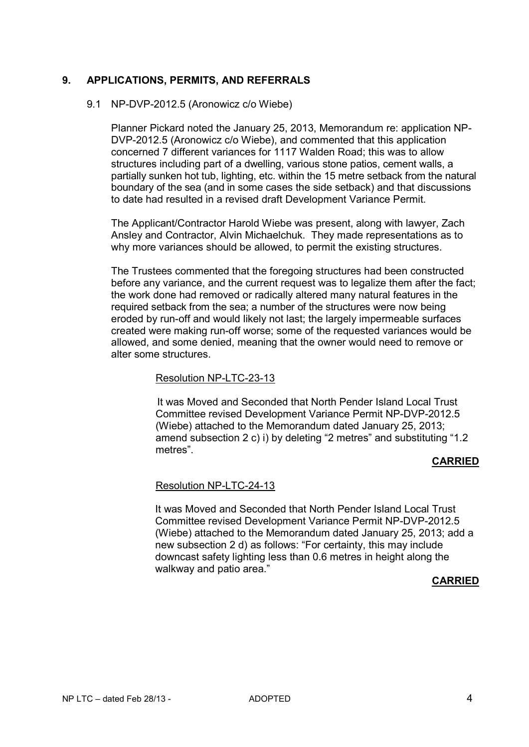## **9. APPLICATIONS, PERMITS, AND REFERRALS**

#### 9.1 NP-DVP-2012.5 (Aronowicz c/o Wiebe)

 Planner Pickard noted the January 25, 2013, Memorandum re: application NP-DVP-2012.5 (Aronowicz c/o Wiebe), and commented that this application concerned 7 different variances for 1117 Walden Road; this was to allow structures including part of a dwelling, various stone patios, cement walls, a partially sunken hot tub, lighting, etc. within the 15 metre setback from the natural boundary of the sea (and in some cases the side setback) and that discussions to date had resulted in a revised draft Development Variance Permit.

 The Applicant/Contractor Harold Wiebe was present, along with lawyer, Zach Ansley and Contractor, Alvin Michaelchuk. They made representations as to why more variances should be allowed, to permit the existing structures.

 The Trustees commented that the foregoing structures had been constructed before any variance, and the current request was to legalize them after the fact; the work done had removed or radically altered many natural features in the required setback from the sea; a number of the structures were now being eroded by run-off and would likely not last; the largely impermeable surfaces created were making run-off worse; some of the requested variances would be allowed, and some denied, meaning that the owner would need to remove or alter some structures.

#### Resolution NP-LTC-23-13

It was Moved and Seconded that North Pender Island Local Trust Committee revised Development Variance Permit NP-DVP-2012.5 (Wiebe) attached to the Memorandum dated January 25, 2013; amend subsection 2 c) i) by deleting "2 metres" and substituting "1.2 metres".

#### **CARRIED**

#### Resolution NP-LTC-24-13

It was Moved and Seconded that North Pender Island Local Trust Committee revised Development Variance Permit NP-DVP-2012.5 (Wiebe) attached to the Memorandum dated January 25, 2013; add a new subsection 2 d) as follows: "For certainty, this may include downcast safety lighting less than 0.6 metres in height along the walkway and patio area."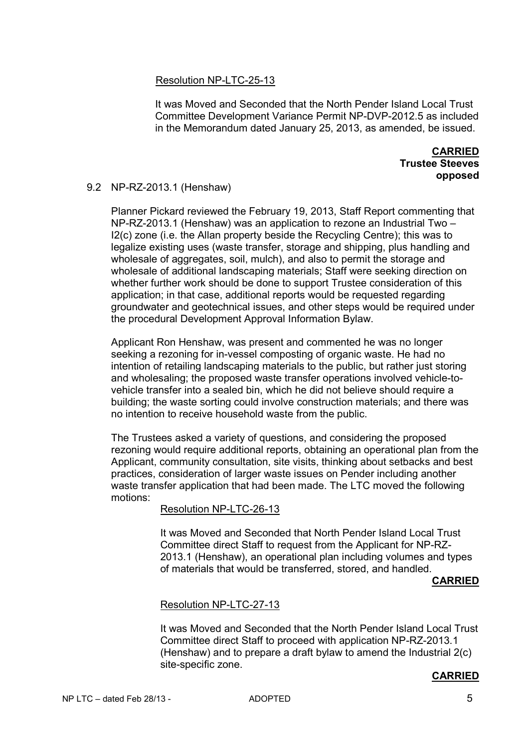### Resolution NP-LTC-25-13

It was Moved and Seconded that the North Pender Island Local Trust Committee Development Variance Permit NP-DVP-2012.5 as included in the Memorandum dated January 25, 2013, as amended, be issued.

> **CARRIED Trustee Steeves opposed**

#### 9.2 NP-RZ-2013.1 (Henshaw)

 Planner Pickard reviewed the February 19, 2013, Staff Report commenting that NP-RZ-2013.1 (Henshaw) was an application to rezone an Industrial Two – I2(c) zone (i.e. the Allan property beside the Recycling Centre); this was to legalize existing uses (waste transfer, storage and shipping, plus handling and wholesale of aggregates, soil, mulch), and also to permit the storage and wholesale of additional landscaping materials; Staff were seeking direction on whether further work should be done to support Trustee consideration of this application; in that case, additional reports would be requested regarding groundwater and geotechnical issues, and other steps would be required under the procedural Development Approval Information Bylaw.

Applicant Ron Henshaw, was present and commented he was no longer seeking a rezoning for in-vessel composting of organic waste. He had no intention of retailing landscaping materials to the public, but rather just storing and wholesaling; the proposed waste transfer operations involved vehicle-tovehicle transfer into a sealed bin, which he did not believe should require a building; the waste sorting could involve construction materials; and there was no intention to receive household waste from the public.

The Trustees asked a variety of questions, and considering the proposed rezoning would require additional reports, obtaining an operational plan from the Applicant, community consultation, site visits, thinking about setbacks and best practices, consideration of larger waste issues on Pender including another waste transfer application that had been made. The LTC moved the following motions:

#### Resolution NP-LTC-26-13

It was Moved and Seconded that North Pender Island Local Trust Committee direct Staff to request from the Applicant for NP-RZ-2013.1 (Henshaw), an operational plan including volumes and types of materials that would be transferred, stored, and handled.

#### **CARRIED**

#### Resolution NP-LTC-27-13

It was Moved and Seconded that the North Pender Island Local Trust Committee direct Staff to proceed with application NP-RZ-2013.1 (Henshaw) and to prepare a draft bylaw to amend the Industrial 2(c) site-specific zone.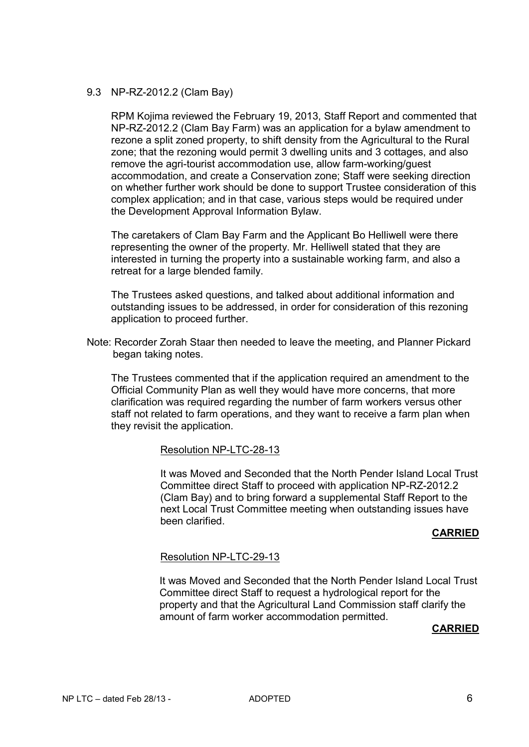#### 9.3 NP-RZ-2012.2 (Clam Bay)

 RPM Kojima reviewed the February 19, 2013, Staff Report and commented that NP-RZ-2012.2 (Clam Bay Farm) was an application for a bylaw amendment to rezone a split zoned property, to shift density from the Agricultural to the Rural zone; that the rezoning would permit 3 dwelling units and 3 cottages, and also remove the agri-tourist accommodation use, allow farm-working/guest accommodation, and create a Conservation zone; Staff were seeking direction on whether further work should be done to support Trustee consideration of this complex application; and in that case, various steps would be required under the Development Approval Information Bylaw.

 The caretakers of Clam Bay Farm and the Applicant Bo Helliwell were there representing the owner of the property. Mr. Helliwell stated that they are interested in turning the property into a sustainable working farm, and also a retreat for a large blended family.

 The Trustees asked questions, and talked about additional information and outstanding issues to be addressed, in order for consideration of this rezoning application to proceed further.

Note: Recorder Zorah Staar then needed to leave the meeting, and Planner Pickard began taking notes.

The Trustees commented that if the application required an amendment to the Official Community Plan as well they would have more concerns, that more clarification was required regarding the number of farm workers versus other staff not related to farm operations, and they want to receive a farm plan when they revisit the application.

#### Resolution NP-LTC-28-13

It was Moved and Seconded that the North Pender Island Local Trust Committee direct Staff to proceed with application NP-RZ-2012.2 (Clam Bay) and to bring forward a supplemental Staff Report to the next Local Trust Committee meeting when outstanding issues have been clarified.

#### **CARRIED**

#### Resolution NP-LTC-29-13

It was Moved and Seconded that the North Pender Island Local Trust Committee direct Staff to request a hydrological report for the property and that the Agricultural Land Commission staff clarify the amount of farm worker accommodation permitted.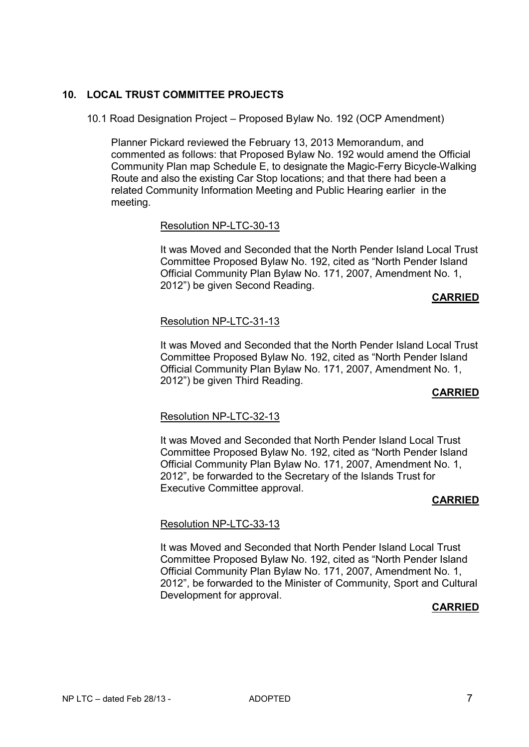# **10. LOCAL TRUST COMMITTEE PROJECTS**

10.1 Road Designation Project – Proposed Bylaw No. 192 (OCP Amendment)

Planner Pickard reviewed the February 13, 2013 Memorandum, and commented as follows: that Proposed Bylaw No. 192 would amend the Official Community Plan map Schedule E, to designate the Magic-Ferry Bicycle-Walking Route and also the existing Car Stop locations; and that there had been a related Community Information Meeting and Public Hearing earlier in the meeting.

### Resolution NP-LTC-30-13

It was Moved and Seconded that the North Pender Island Local Trust Committee Proposed Bylaw No. 192, cited as "North Pender Island Official Community Plan Bylaw No. 171, 2007, Amendment No. 1, 2012") be given Second Reading.

#### **CARRIED**

# Resolution NP-LTC-31-13

It was Moved and Seconded that the North Pender Island Local Trust Committee Proposed Bylaw No. 192, cited as "North Pender Island Official Community Plan Bylaw No. 171, 2007, Amendment No. 1, 2012") be given Third Reading.

#### **CARRIED**

#### Resolution NP-LTC-32-13

It was Moved and Seconded that North Pender Island Local Trust Committee Proposed Bylaw No. 192, cited as "North Pender Island Official Community Plan Bylaw No. 171, 2007, Amendment No. 1, 2012", be forwarded to the Secretary of the Islands Trust for Executive Committee approval.

# **CARRIED**

# Resolution NP-LTC-33-13

It was Moved and Seconded that North Pender Island Local Trust Committee Proposed Bylaw No. 192, cited as "North Pender Island Official Community Plan Bylaw No. 171, 2007, Amendment No. 1, 2012", be forwarded to the Minister of Community, Sport and Cultural Development for approval.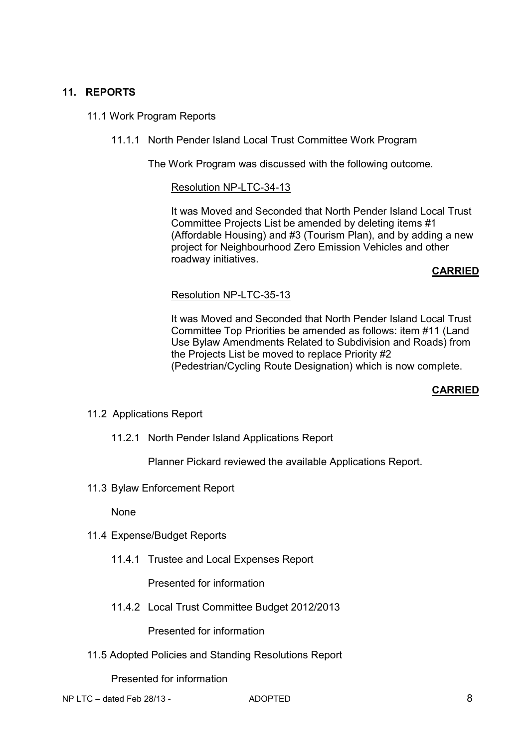# **11. REPORTS**

## 11.1 Work Program Reports

11.1.1 North Pender Island Local Trust Committee Work Program

The Work Program was discussed with the following outcome.

#### Resolution NP-LTC-34-13

It was Moved and Seconded that North Pender Island Local Trust Committee Projects List be amended by deleting items #1 (Affordable Housing) and #3 (Tourism Plan), and by adding a new project for Neighbourhood Zero Emission Vehicles and other roadway initiatives.

#### **CARRIED**

#### Resolution NP-LTC-35-13

It was Moved and Seconded that North Pender Island Local Trust Committee Top Priorities be amended as follows: item #11 (Land Use Bylaw Amendments Related to Subdivision and Roads) from the Projects List be moved to replace Priority #2 (Pedestrian/Cycling Route Designation) which is now complete.

# **CARRIED**

- 11.2 Applications Report
	- 11.2.1 North Pender Island Applications Report

Planner Pickard reviewed the available Applications Report.

11.3 Bylaw Enforcement Report

None

- 11.4 Expense/Budget Reports
	- 11.4.1 Trustee and Local Expenses Report

Presented for information

11.4.2 Local Trust Committee Budget 2012/2013

Presented for information

11.5 Adopted Policies and Standing Resolutions Report

Presented for information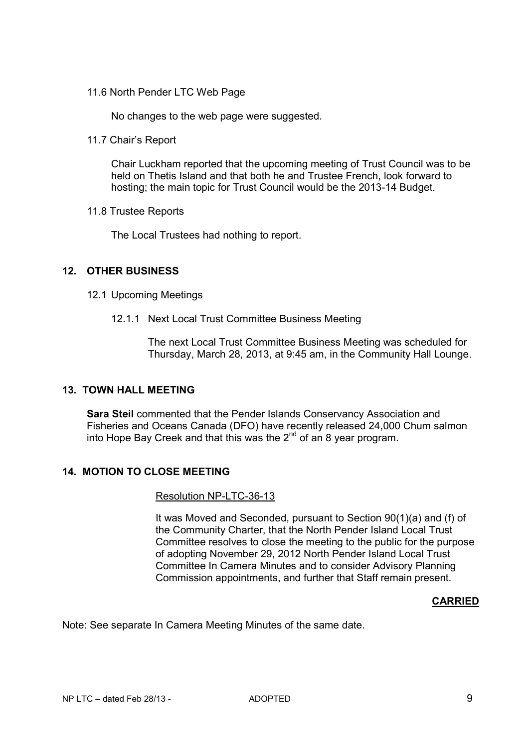11.6 North Pender LTC Web Page

No changes to the web page were suggested.

11.7 Chair's Report

Chair Luckham reported that the upcoming meeting of Trust Council was to be held on Thetis Island and that both he and Trustee French, look forward to hosting; the main topic for Trust Council would be the 2013-14 Budget.

11.8 Trustee Reports

The Local Trustees had nothing to report.

# **12. OTHER BUSINESS**

- 12.1 Upcoming Meetings
	- 12.1.1 Next Local Trust Committee Business Meeting

The next Local Trust Committee Business Meeting was scheduled for Thursday, March 28, 2013, at 9:45 am, in the Community Hall Lounge.

# **13. TOWN HALL MEETING**

**Sara Steil** commented that the Pender Islands Conservancy Association and Fisheries and Oceans Canada (DFO) have recently released 24,000 Chum salmon into Hope Bay Creek and that this was the  $2<sup>nd</sup>$  of an 8 year program.

# **14. MOTION TO CLOSE MEETING**

#### Resolution NP-LTC-36-13

It was Moved and Seconded, pursuant to Section 90(1)(a) and (f) of the Community Charter, that the North Pender Island Local Trust Committee resolves to close the meeting to the public for the purpose of adopting November 29, 2012 North Pender Island Local Trust Committee In Camera Minutes and to consider Advisory Planning Commission appointments, and further that Staff remain present.

#### **CARRIED**

Note: See separate In Camera Meeting Minutes of the same date.